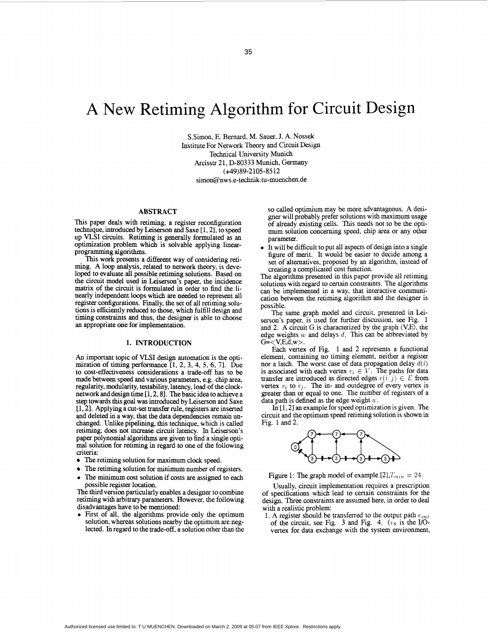# A New Retiming Algorithm for Circuit Design

S.Simon, E. Bernard, M. Sauer, J. **A. Nossek**  Institute For Network Theory and Circuit Design Technical University Munich Arcisstr 21, D-80333 Munich, Germany (+49)89-2105-8512 simon@nws.e-technik.tu-muenchen.de

## **ABSTRACT**

This paper deals with retiming, a register reconfiguration technique, introduced by Leiserson and Saxe [1, 2], to speed up VLSI circuits. Retiming is generally formulated as an optimization problem which is solvable applying linearprogramming algorithms.

**"his** work presents a different way of considering retiming. A loop analysis, related to network theory, is developed to evaluate all possible retiming solutions. Based on the circuit model used in Leiserson's paper, the incidence matrix of the circuit is formulated in order to find the linearly independent loops which are **needed** to represent all register configurations. Finally, the set of all retiming solutions is efficiently reduced to those, which fulfill design and timing constraints and thus, the designer is able to choose **an** appropriate one for implementation.

# **1. INTRODUCTION**

**An** important topic of VLSI design automation is the optimization of timing performance **[l,** 2, **3, 4,** 5, **6,** 71. Due to cost-effectiveness considerations a trade-off has to be made between **speed and** various parameters, e.g. chip area, regularity, modularity, testability, latency, load of the clock-<br>network and design time [1, 2, 8]. The basic idea to achieve a step towards this goal was introduced by Leiserson and Saxe **[l, 21.** Applying a cut-set transfer rule, registers are inserted and deleted in a way, that the data dependencies remain unchanged. Unlike pipelining, **this** technique, which is called retiming, does not increase circuit latency. In **Leiserson's**  paper polynomial algorithms are given to find a single opti**mal** solution for retiming in regard to one of the following criteria:

- The retiming solution for maximum clock speed.
- The retiming solution for minimum **number** of registers.  $\bullet$
- *0* The minimum cost solution if costs are assigned to each possible register location.

The third version particularly enables a designer to combine retiming with arbitrary parameters. However, the following disadvantages have to be mentioned:

First of all, the algorithms provide only the optimum solution, whereas solutions nearby the optimum are neglected. In regard to the trade-off, a solution other than the so called optimium may be more advantageous. **A** designer will probably prefer solutions with maximum usage of already existing cells. This needs not to be the optimum solution concerning speed, chip area or any other parameter.

It will be difficult to put all aspects of design into a single figure of merit. It would be easier to decide among a set of alternatives, proposed by an algorithm, instead of creating a complicated cost function.

The algorithms presented in **this** paper provide all retiming solutions with regard to certain constraints. The algorithms *can* be implemented in a way, that interactive communication between the retiming algorithm and the designer is possible.

The same graph model and circuit. presented in Leiserson's paper, is used for further discussion, see Fig. 1 and 2. A circuit G is characterized by the graph (V<sub>E</sub>), the edge weights *w* and delays *d.* This *can* be abbreviated by  $G = < V, E, d, w$ .

Each vertex of Fig. 1 and 2 represents a functional element, containing no timing element, neither a register nor a latch. The worst case of data propagation delay  $d(i)$ is associated with each vertex  $v_i \in V$ . The paths for data transfer are introduced as directed edges  $\epsilon(i, j) \in E$  from vertex  $v_i$  to  $v_j$ . The in- and outdegree of *every* vertex is greater than or equal to one. The number of registers of a data path is defined as the edge weight *U.* 

In [ 1.21 **an** example for speed optimization is given. The circuit and the optimum speed retiming solution is shown in Fig. 1 **and2.** 



Figure 1: The graph model of example  $[2]$ ,  $T_{min} = 24$ .

Usually, circuit implementation requires a prescription of specifications which lead to certain constraints for the design. **Three** constraints are assumed here, in order to deal with a realistic problem:

1. **A** register should be transferred to the output path *eout*  of the circuit, see Fig. 3 and [Fig.](#page-1-0) **4.** *(rg* is the *UO*vertex for data exchange with the system environment.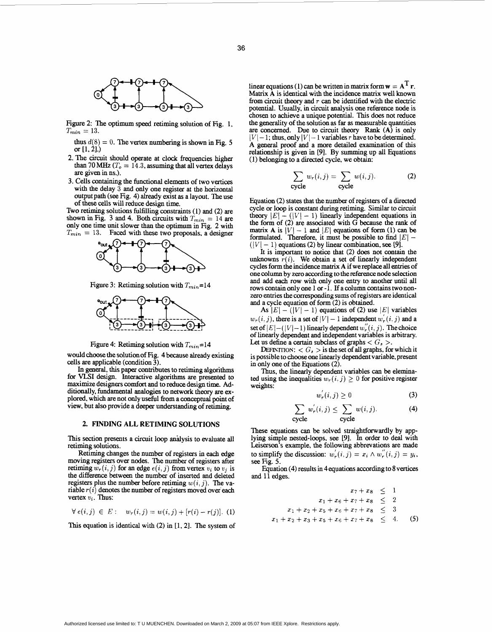

<span id="page-1-0"></span>

Figure 2: The optimum *speed* retiming solution of Fig. 1,  $T_{min} = 13$ .

- thus  $d(8) = 0$ . The vertex numbering is shown in Fig. 5 or **[1,21.)**
- 2. The circuit should operate at clock frequencies higher than 70 MHz  $(T<sub>o</sub> = 14.3$ , assuming that all vertex delays are given in ns.).
- 3. Cells containing the functional elements of two vertices with the delay 3 and only one register at the horizontal output path *(see* Fig. 4) already exist **as** a layout. The **use**  of these **cells** will reduce design time.

Two retiming solutions fulfilling constraints (1) and (2) are only one time unit slower than the optimum in Fig. 2 with  $T_{min}$  = 13. Faced with these two proposals, a designer shown in Fig. 3 and 4. Both circuits with  $T_{min} = 14$  are



Figure 3: Retiming solution with  $T_{min}=14$ 



Figure 4: Retiming solution with  $T_{min}=14$ 

would choose the solution of Fig. 4 **because** already existing cells are applicable (condition  $\tilde{3}$ ).

In general, this paper contributes to retiming algorithms for VLSI design. Interactive algorithms are presented to maximize designers comfort and to reduce design time. Additionally, fundamental analogies to network theory are explored, which are not only useful from a conceptual point of view, but also provide a deeper understanding of retiming.

# **2. FINDING ALL RETIMING SOLUTIONS**

This section presents a circuit loop andysis to evaluate dl retiming solutions.

Retiming changes the number of registers in *each* edge moving registers over **nodes.** Ihe number of registers aftex retiming  $w_r(i, j)$  for an edge  $e(i, j)$  from vertex  $v_i$  to  $v_j$  is the difference between the **number** of **inserted** and deleted registers plus the number before retiming  $w(i, j)$ . The variable  $r(i)$  denotes the number of registers moved over each vertex  $v_i$ . Thus:

$$
\forall e(i,j) \in E: \quad w_r(i,j) = w(i,j) + [r(i) - r(j)]. \tag{1}
$$

**'Ihis** equation is identical with (2) in [l, 21. The system of

linear equations (1) can be written in matrix form  $\mathbf{w} = \mathbf{A}^T \mathbf{r}$ . Matrix **A** is identical with the incidence matrix well **known**  from circuit theory and *T can* **be** identified with the electric potential. Usually, in circuit analysis one reference node is chosen to achieve a unique potential. **This** does not reduce the generality of the solution as far as measurable quantities are concerned. Due to circuit theory Rank (A) is only  $|V| - 1$ ; thus, only  $|V| - 1$  variables *r* have to be determined. A general proof and a more detailed examination of **this**  relationship is given in [9]. By summing up all Equations (1) belonging to a **directed** cycle, we obtain:

$$
\sum_{\text{cycle}} w_r(i,j) = \sum_{\text{cycle}} w(i,j). \tag{2}
$$

Equation (2) states that the **number** of registers of a **directed**  cycle or loop is constant during retiming. Similar to circuit theory  $|E| - (|V| - 1)$  linearly independent equations in the form of  $(2)$  are associated with G because the rank of matrix A is  $|V| - 1$  and  $|E|$  equations of form (1) can be formulated. Therefore, it must be possible to find  $|E|$   $f([V] - 1)$  equations (2) by linear combination, see [9].

It is important to notice that (2) does not **contain** the unknowns  $\overline{r}(i)$ . We obtain a set of linearly independent cycles form the incidence matrix **A** if we replace all entries of one column by zero according to the reference node selection and add each row with only one entry to another until all rows contain only one 1 or -1. If a column contains two nonzero entries the corresponding sums of registers are identical and a cycle equation of form (2) is obtained.

As  $|E| - (|V| - 1)$  equations of (2) use  $|E|$  variables  $w_r(i, j)$ , there is a set of  $|V| - 1$  independent  $w'_r(i, j)$  and a set of  $|E| - (|V| - 1)$  linearly dependent  $w'_r(i, j)$ . The choice of linearly dependent and independent variables is arbitrary. Let us define a certain subclass of graphs  $\langle G_s \rangle$ 

**DEFINITION:**  $\langle G_s \rangle$  is the set of all graphs, for which it is possible to choose **one** linearly dependent variable, present in only one of the Equations (2).

Thus, the linearly dependent variables *can* be eleminated using the inequalities  $w_r(i, j) \geq 0$  for positive register weights:

$$
w_r(i,j) \ge 0 \tag{3}
$$

$$
\sum_{\text{cycle}} w_r'(i,j) \le \sum_{\text{cycle}} w(i,j). \tag{4}
$$

These equations *can* be solved straightforwardly by applying simple nested-loops, **see [91.** In order to deal with **Leiserson's** example, the following abbrevations are made to simplify the discussion:  $w_r(i,j) = x_i \wedge w_r(i,j) = y_i$ , seeFig. **5.** 

Equation (4) results in 4equations according to **8** vertices and 11 **edges.** 

$$
x_7 + x_8 \le 1
$$
  
\n
$$
x_1 + x_6 + x_7 + x_8 \le 2
$$
  
\n
$$
x_1 + x_2 + x_5 + x_6 + x_7 + x_8 \le 3
$$
  
\n
$$
x_1 + x_2 + x_3 + x_5 + x_6 + x_7 + x_8 \le 4.
$$
 (5)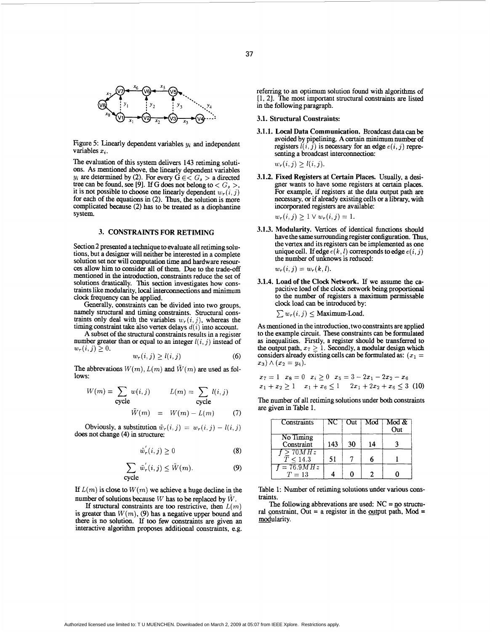

Figure 5: Linearly dependent variables  $y_i$  and independent variables  $x_i$ .

The evaluation of this system delivers 143 retiming solutions. As mentioned above, the linearly dependent variables  $y_i$  are determined by (2). For every  $\acute{G} \in < G_s$  > a directed tree can be found, see [9]. If G does not belong to  $\langle G_s \rangle$ . it is not possible to choose one linearly dependent  $w_r(i, j)$ for each of the equations in (2). Thus, the solution is more complicated because (2) has to be treated **as** a diophantine system.

# **3. CONSTRAINTS FOR RETIMING**

Section 2 presented a technique to evaluate all retiming solutions, but a designer will neither be interested in a complete solution set nor will computation time and hardware resour*ces* allow him to consider all of them. Due to the trade-off mentioned in the introduction, constraints reduce the **set** of solutions drastically. This section investigates how cons- traints like modularity, local interconnections and minimum clock frequency *can* be applied.

Generally, constraints *can* be divided into two groups, namely structural and timing constraints. Structural constraints only deal with the variables  $w_r(i, j)$ , whereas the timing constraint take also vertex delays  $d(i)$  into account.

A subset of the structural constraints results in a register number greater than or equal to an integer  $l(i, j)$  instead of  $w_r(i,j) \geq 0.$ 

$$
w_r(i,j) \ge l(i,j) \tag{6}
$$

The abbrevations  $W(m)$ ,  $L(m)$  and  $\tilde{W}(m)$  are used as follows:

$$
W(m) = \sum_{\text{cycle}} w(i,j) \qquad L(m) = \sum_{\text{cycle}} l(i,j)
$$

$$
\tilde{W}(m) = W(m) - L(m) \qquad (7)
$$

Obviously, a substitution  $\tilde{w}_r(i, j) = w_r(i, j) - l(i, j)$ does not change (4) in structure:

$$
\tilde{w}_r'(i,j) \ge 0 \tag{8}
$$

$$
\sum_{\text{cycle}} \tilde{w}_r'(i,j) \le \tilde{W}(m). \tag{9}
$$

If  $L(m)$  is close to  $W(m)$  we achieve a huge decline in the number of solutions because *W* has to be replaced by *W.* 

If structural constraints are too restrictive, then  $L(m)$ is greater than  $W(m)$ , (9) has a negative upper bound and there is no solution. If too few constraints are given an interactive algorithm proposes additional constraints, e.g. referring to an optimum solution found with algorithms of [1, 2]. The most important structural constraints are listed in the following paragraph.

## 3.1. Structural Constraints:

3.1.1. Local Data Communication. Broadcast data can be avoided by pipelining. A certain minimum number of registers  $l(i, j)$  is necessary for an edge  $e(i, j)$  representing a broadcast interconnection:

 $w_r(i, j) \ge l(i, j).$ 

3.1.2. Fixed Registers at Certain Places. Usually, a desi-

$$
x_7 = 1 \quad x_8 = 0 \quad x_i \ge 0 \quad x_5 = 3 - 2x_1 - 2x_2 - x_6
$$
  

$$
x_1 + x_2 > 1 \quad x_1 + x_6 < 1 \quad 2x_1 + 2x_2 + x_6 < 3 \tag{10}
$$

| $\wedge$ $(x_2 = y_4).$<br>its. | $w_r(i, j) \geq 1 \vee w_r(i, j) = 1.$<br>3. Modularity. Vertices of identical functions should<br>have the same surrounding register configuration. Thus,<br>the vertex and its registers can be implemented as one<br>unique cell. If edge $e(k, l)$ corresponds to edge $e(i, j)$<br>the number of unknows is reduced:<br>$w_r(i, j) = w_r(k, l).$<br>4. Load of the Clock Network. If we assume the ca-<br>pacitive load of the clock network being proportional<br>to the number of registers a maximum permissable<br>clock load can be introduced by:<br>$\sum w_r(i, j) \leq$ Maximum-Load.<br>nentioned in the introduction, two constraints are applied<br>e example circuit. These constraints can be formulated<br>nequalities. Firstly, a register should be transferred to<br>butput path, $x_7 \geq 1$ . Secondly, a modular design which<br>iders already existing cells can be formulated as: $(x_1 =$<br>$= 1$ $x_8 = 0$ $x_i \ge 0$ $x_5 = 3 - 2x_1 - 2x_2 - x_6$<br>$+x_2 \ge 1$ $x_1+x_6 \le 1$ $2x_1+2x_2+x_6 \le 3$ (10)<br>number of all retiming solutions under both constraints<br>given in Table 1.<br>Constraints<br>No Timing<br>Constraint<br>f > 70MHz<br>$\bar{T} < 14.3$<br>$f = 76.9MHz$<br>$T=13$<br>le 1: Number of retiming solutions under various cons-<br>The following abbrevations are used: $NC = \text{no structu-}$<br>constraint, Out = a register in the output path, $Mod =$ | incorporated registers are available: |     |     | For example, if registers at the data output path are<br>necessary, or if already existing cells or a library, with |  |  |
|---------------------------------|-------------------------------------------------------------------------------------------------------------------------------------------------------------------------------------------------------------------------------------------------------------------------------------------------------------------------------------------------------------------------------------------------------------------------------------------------------------------------------------------------------------------------------------------------------------------------------------------------------------------------------------------------------------------------------------------------------------------------------------------------------------------------------------------------------------------------------------------------------------------------------------------------------------------------------------------------------------------------------------------------------------------------------------------------------------------------------------------------------------------------------------------------------------------------------------------------------------------------------------------------------------------------------------------------------------------------------------------------------------------------------------------------------------------------------|---------------------------------------|-----|-----|---------------------------------------------------------------------------------------------------------------------|--|--|
|                                 |                                                                                                                                                                                                                                                                                                                                                                                                                                                                                                                                                                                                                                                                                                                                                                                                                                                                                                                                                                                                                                                                                                                                                                                                                                                                                                                                                                                                                               |                                       |     |     |                                                                                                                     |  |  |
|                                 |                                                                                                                                                                                                                                                                                                                                                                                                                                                                                                                                                                                                                                                                                                                                                                                                                                                                                                                                                                                                                                                                                                                                                                                                                                                                                                                                                                                                                               |                                       |     |     |                                                                                                                     |  |  |
|                                 |                                                                                                                                                                                                                                                                                                                                                                                                                                                                                                                                                                                                                                                                                                                                                                                                                                                                                                                                                                                                                                                                                                                                                                                                                                                                                                                                                                                                                               |                                       |     |     |                                                                                                                     |  |  |
|                                 |                                                                                                                                                                                                                                                                                                                                                                                                                                                                                                                                                                                                                                                                                                                                                                                                                                                                                                                                                                                                                                                                                                                                                                                                                                                                                                                                                                                                                               |                                       |     |     |                                                                                                                     |  |  |
|                                 |                                                                                                                                                                                                                                                                                                                                                                                                                                                                                                                                                                                                                                                                                                                                                                                                                                                                                                                                                                                                                                                                                                                                                                                                                                                                                                                                                                                                                               |                                       |     |     |                                                                                                                     |  |  |
|                                 |                                                                                                                                                                                                                                                                                                                                                                                                                                                                                                                                                                                                                                                                                                                                                                                                                                                                                                                                                                                                                                                                                                                                                                                                                                                                                                                                                                                                                               |                                       |     |     |                                                                                                                     |  |  |
|                                 |                                                                                                                                                                                                                                                                                                                                                                                                                                                                                                                                                                                                                                                                                                                                                                                                                                                                                                                                                                                                                                                                                                                                                                                                                                                                                                                                                                                                                               |                                       |     |     |                                                                                                                     |  |  |
|                                 |                                                                                                                                                                                                                                                                                                                                                                                                                                                                                                                                                                                                                                                                                                                                                                                                                                                                                                                                                                                                                                                                                                                                                                                                                                                                                                                                                                                                                               |                                       |     |     |                                                                                                                     |  |  |
|                                 |                                                                                                                                                                                                                                                                                                                                                                                                                                                                                                                                                                                                                                                                                                                                                                                                                                                                                                                                                                                                                                                                                                                                                                                                                                                                                                                                                                                                                               | NC.                                   | Out | Mod | Mod &<br>Out                                                                                                        |  |  |
|                                 |                                                                                                                                                                                                                                                                                                                                                                                                                                                                                                                                                                                                                                                                                                                                                                                                                                                                                                                                                                                                                                                                                                                                                                                                                                                                                                                                                                                                                               | 143                                   | 30  | 14  | 3                                                                                                                   |  |  |
|                                 |                                                                                                                                                                                                                                                                                                                                                                                                                                                                                                                                                                                                                                                                                                                                                                                                                                                                                                                                                                                                                                                                                                                                                                                                                                                                                                                                                                                                                               | 51                                    | 7   | 6   | 1                                                                                                                   |  |  |
|                                 |                                                                                                                                                                                                                                                                                                                                                                                                                                                                                                                                                                                                                                                                                                                                                                                                                                                                                                                                                                                                                                                                                                                                                                                                                                                                                                                                                                                                                               | 4                                     | 0   | 2   | 0                                                                                                                   |  |  |
| lularity.                       |                                                                                                                                                                                                                                                                                                                                                                                                                                                                                                                                                                                                                                                                                                                                                                                                                                                                                                                                                                                                                                                                                                                                                                                                                                                                                                                                                                                                                               |                                       |     |     |                                                                                                                     |  |  |

Table 1: **Number** of retiming solutions under various **cons**traints.

The following abbrevations are **used:** NC = *go* structural constraint, Out = a register in the output path,  $Mod =$ modularity.